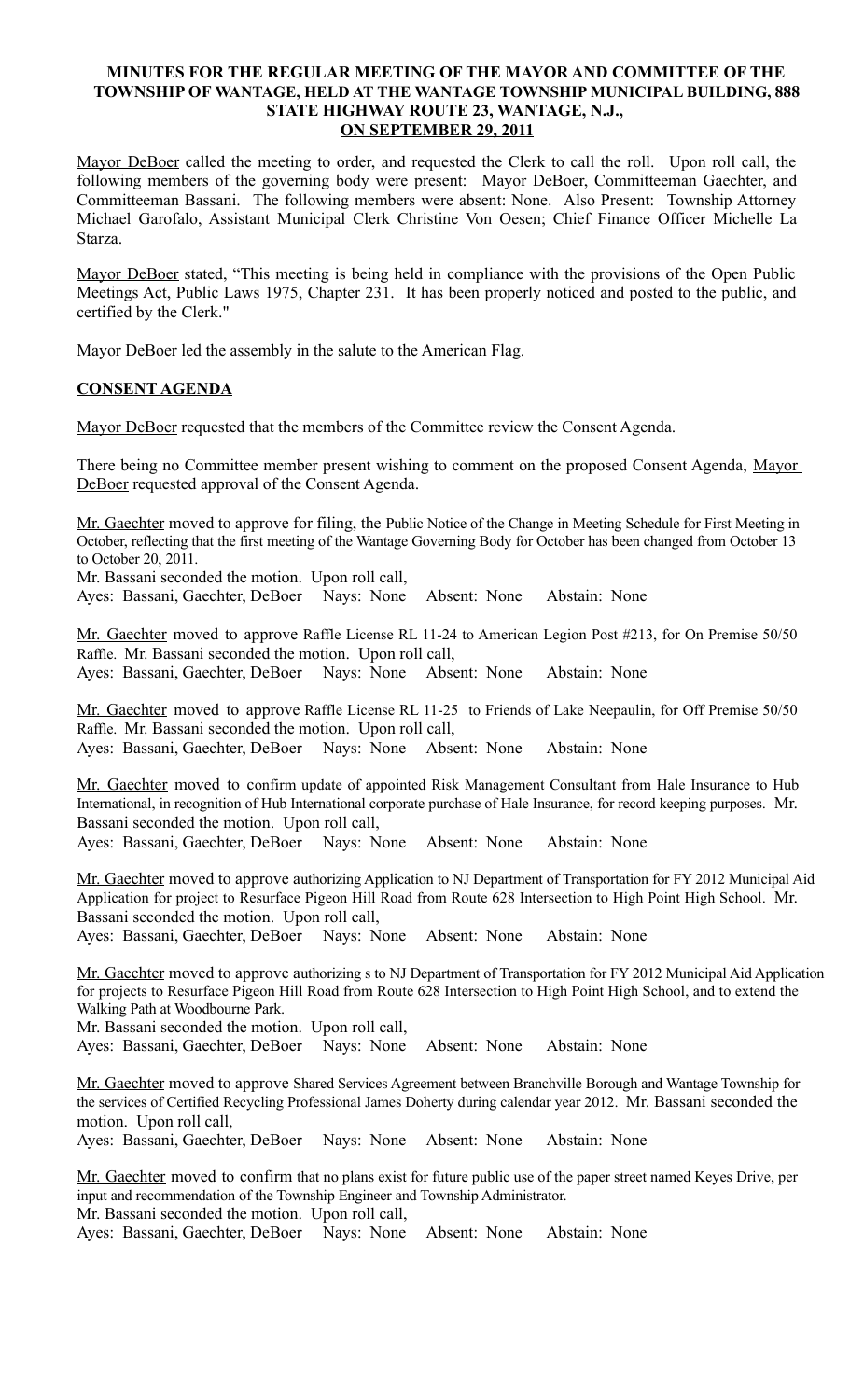## **MINUTES FOR THE REGULAR MEETING OF THE MAYOR AND COMMITTEE OF THE TOWNSHIP OF WANTAGE, HELD AT THE WANTAGE TOWNSHIP MUNICIPAL BUILDING, 888 STATE HIGHWAY ROUTE 23, WANTAGE, N.J., ON SEPTEMBER 29, 2011**

Mayor DeBoer called the meeting to order, and requested the Clerk to call the roll. Upon roll call, the following members of the governing body were present: Mayor DeBoer, Committeeman Gaechter, and Committeeman Bassani. The following members were absent: None. Also Present: Township Attorney Michael Garofalo, Assistant Municipal Clerk Christine Von Oesen; Chief Finance Officer Michelle La Starza.

Mayor DeBoer stated, "This meeting is being held in compliance with the provisions of the Open Public Meetings Act, Public Laws 1975, Chapter 231. It has been properly noticed and posted to the public, and certified by the Clerk."

Mayor DeBoer led the assembly in the salute to the American Flag.

## **CONSENT AGENDA**

Mayor DeBoer requested that the members of the Committee review the Consent Agenda.

There being no Committee member present wishing to comment on the proposed Consent Agenda, Mayor DeBoer requested approval of the Consent Agenda.

Mr. Gaechter moved to approve for filing, the Public Notice of the Change in Meeting Schedule for First Meeting in October, reflecting that the first meeting of the Wantage Governing Body for October has been changed from October 13 to October 20, 2011.

Mr. Bassani seconded the motion. Upon roll call,

Ayes: Bassani, Gaechter, DeBoer Nays: None Absent: None Abstain: None

Mr. Gaechter moved to approve Raffle License RL 11-24 to American Legion Post #213, for On Premise 50/50 Raffle. Mr. Bassani seconded the motion. Upon roll call, Ayes: Bassani, Gaechter, DeBoer Nays: None Absent: None Abstain: None

Mr. Gaechter moved to approve Raffle License RL 11-25 to Friends of Lake Neepaulin, for Off Premise 50/50 Raffle. Mr. Bassani seconded the motion. Upon roll call, Ayes: Bassani, Gaechter, DeBoer Nays: None Absent: None Abstain: None

Mr. Gaechter moved to confirm update of appointed Risk Management Consultant from Hale Insurance to Hub International, in recognition of Hub International corporate purchase of Hale Insurance, for record keeping purposes. Mr. Bassani seconded the motion. Upon roll call,

Ayes: Bassani, Gaechter, DeBoer Nays: None Absent: None Abstain: None

Mr. Gaechter moved to approve authorizing Application to NJ Department of Transportation for FY 2012 Municipal Aid Application for project to Resurface Pigeon Hill Road from Route 628 Intersection to High Point High School. Mr. Bassani seconded the motion. Upon roll call,

Ayes: Bassani, Gaechter, DeBoer Nays: None Absent: None Abstain: None

Mr. Gaechter moved to approve authorizing s to NJ Department of Transportation for FY 2012 Municipal Aid Application for projects to Resurface Pigeon Hill Road from Route 628 Intersection to High Point High School, and to extend the Walking Path at Woodbourne Park.

Mr. Bassani seconded the motion. Upon roll call,

Ayes: Bassani, Gaechter, DeBoer Nays: None Absent: None Abstain: None

Mr. Gaechter moved to approve Shared Services Agreement between Branchville Borough and Wantage Township for the services of Certified Recycling Professional James Doherty during calendar year 2012. Mr. Bassani seconded the motion. Upon roll call,

Ayes: Bassani, Gaechter, DeBoer Nays: None Absent: None Abstain: None

Mr. Gaechter moved to confirm that no plans exist for future public use of the paper street named Keyes Drive, per input and recommendation of the Township Engineer and Township Administrator. Mr. Bassani seconded the motion. Upon roll call,

Ayes: Bassani, Gaechter, DeBoer Nays: None Absent: None Abstain: None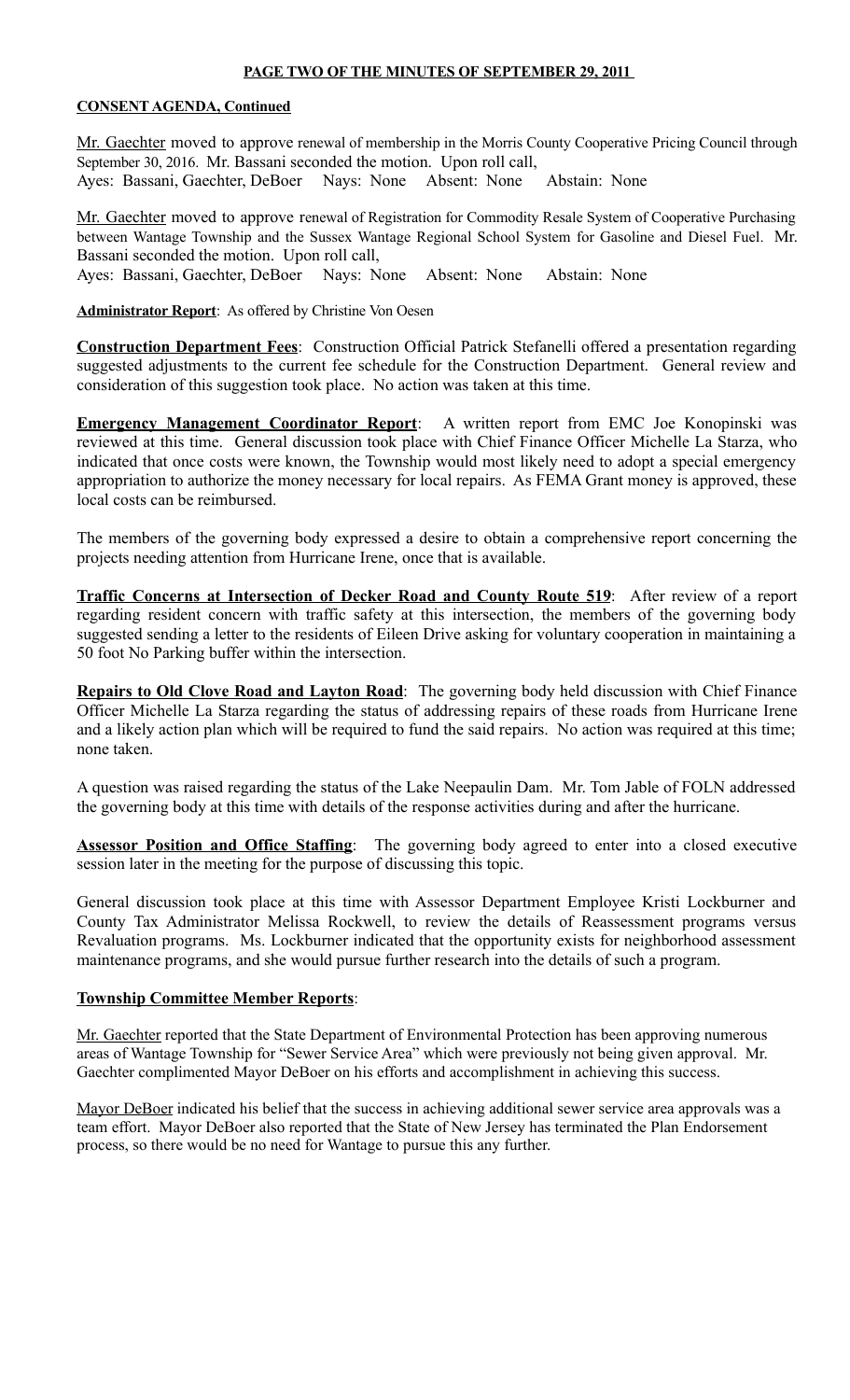#### **PAGE TWO OF THE MINUTES OF SEPTEMBER 29, 2011**

## **CONSENT AGENDA, Continued**

Mr. Gaechter moved to approve renewal of membership in the Morris County Cooperative Pricing Council through September 30, 2016. Mr. Bassani seconded the motion. Upon roll call, Ayes: Bassani, Gaechter, DeBoer Nays: None Absent: None Abstain: None

Mr. Gaechter moved to approve renewal of Registration for Commodity Resale System of Cooperative Purchasing between Wantage Township and the Sussex Wantage Regional School System for Gasoline and Diesel Fuel. Mr. Bassani seconded the motion. Upon roll call,

Ayes: Bassani, Gaechter, DeBoer Nays: None Absent: None Abstain: None

**Administrator Report**: As offered by Christine Von Oesen

**Construction Department Fees**: Construction Official Patrick Stefanelli offered a presentation regarding suggested adjustments to the current fee schedule for the Construction Department. General review and consideration of this suggestion took place. No action was taken at this time.

**Emergency Management Coordinator Report:** A written report from EMC Joe Konopinski was reviewed at this time. General discussion took place with Chief Finance Officer Michelle La Starza, who indicated that once costs were known, the Township would most likely need to adopt a special emergency appropriation to authorize the money necessary for local repairs. As FEMA Grant money is approved, these local costs can be reimbursed.

The members of the governing body expressed a desire to obtain a comprehensive report concerning the projects needing attention from Hurricane Irene, once that is available.

**Traffic Concerns at Intersection of Decker Road and County Route 519**: After review of a report regarding resident concern with traffic safety at this intersection, the members of the governing body suggested sending a letter to the residents of Eileen Drive asking for voluntary cooperation in maintaining a 50 foot No Parking buffer within the intersection.

**Repairs to Old Clove Road and Layton Road**: The governing body held discussion with Chief Finance Officer Michelle La Starza regarding the status of addressing repairs of these roads from Hurricane Irene and a likely action plan which will be required to fund the said repairs. No action was required at this time; none taken.

A question was raised regarding the status of the Lake Neepaulin Dam. Mr. Tom Jable of FOLN addressed the governing body at this time with details of the response activities during and after the hurricane.

**Assessor Position and Office Staffing**: The governing body agreed to enter into a closed executive session later in the meeting for the purpose of discussing this topic.

General discussion took place at this time with Assessor Department Employee Kristi Lockburner and County Tax Administrator Melissa Rockwell, to review the details of Reassessment programs versus Revaluation programs. Ms. Lockburner indicated that the opportunity exists for neighborhood assessment maintenance programs, and she would pursue further research into the details of such a program.

## **Township Committee Member Reports**:

Mr. Gaechter reported that the State Department of Environmental Protection has been approving numerous areas of Wantage Township for "Sewer Service Area" which were previously not being given approval. Mr. Gaechter complimented Mayor DeBoer on his efforts and accomplishment in achieving this success.

Mayor DeBoer indicated his belief that the success in achieving additional sewer service area approvals was a team effort. Mayor DeBoer also reported that the State of New Jersey has terminated the Plan Endorsement process, so there would be no need for Wantage to pursue this any further.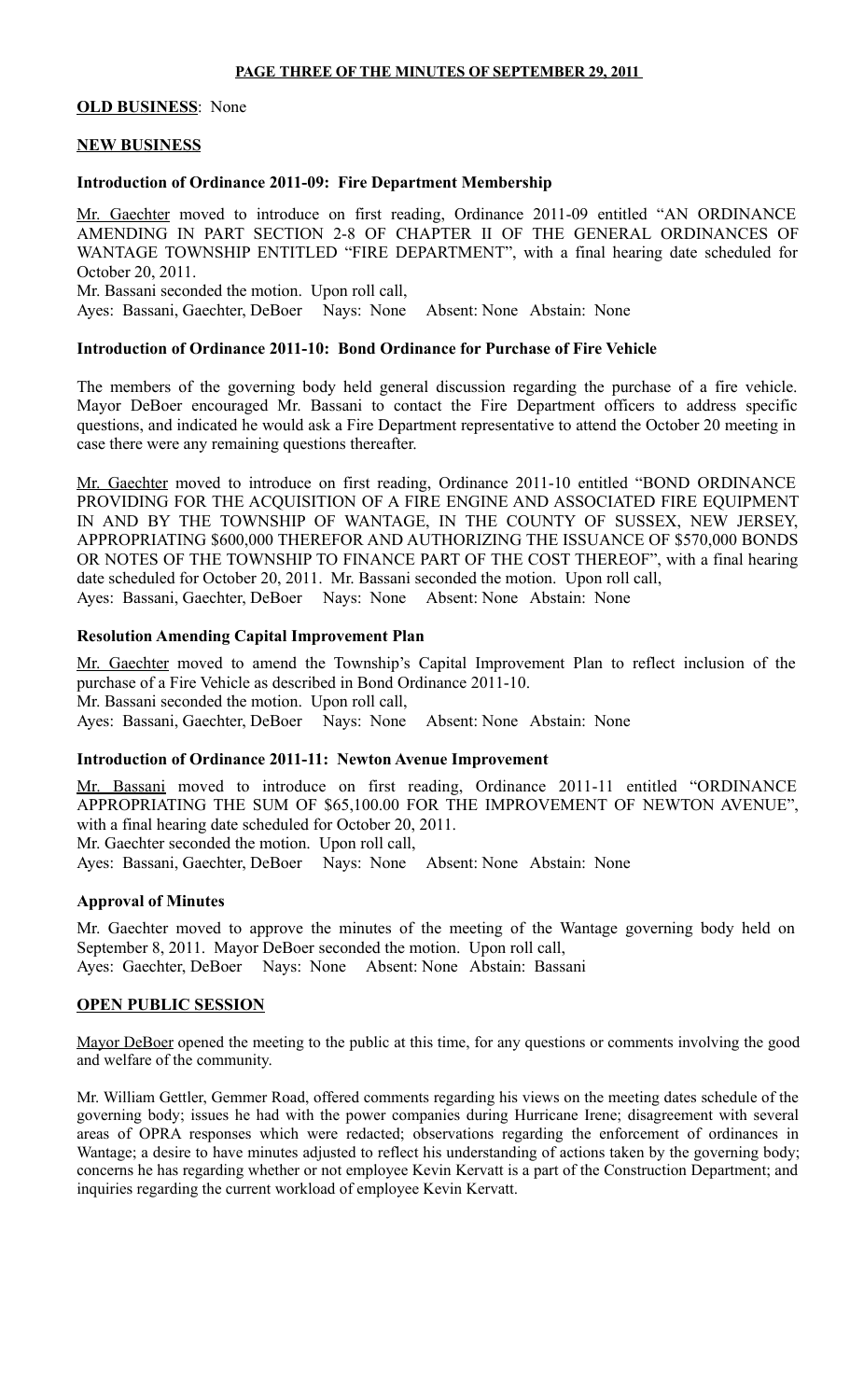## **PAGE THREE OF THE MINUTES OF SEPTEMBER 29, 2011**

## **OLD BUSINESS**: None

## **NEW BUSINESS**

## **Introduction of Ordinance 2011-09: Fire Department Membership**

Mr. Gaechter moved to introduce on first reading, Ordinance 2011-09 entitled "AN ORDINANCE AMENDING IN PART SECTION 2-8 OF CHAPTER II OF THE GENERAL ORDINANCES OF WANTAGE TOWNSHIP ENTITLED "FIRE DEPARTMENT", with a final hearing date scheduled for October 20, 2011. Mr. Bassani seconded the motion. Upon roll call,

Ayes: Bassani, Gaechter, DeBoer Nays: None Absent: None Abstain: None

#### **Introduction of Ordinance 2011-10: Bond Ordinance for Purchase of Fire Vehicle**

The members of the governing body held general discussion regarding the purchase of a fire vehicle. Mayor DeBoer encouraged Mr. Bassani to contact the Fire Department officers to address specific questions, and indicated he would ask a Fire Department representative to attend the October 20 meeting in case there were any remaining questions thereafter.

Mr. Gaechter moved to introduce on first reading, Ordinance 2011-10 entitled "BOND ORDINANCE PROVIDING FOR THE ACQUISITION OF A FIRE ENGINE AND ASSOCIATED FIRE EQUIPMENT IN AND BY THE TOWNSHIP OF WANTAGE, IN THE COUNTY OF SUSSEX, NEW JERSEY, APPROPRIATING \$600,000 THEREFOR AND AUTHORIZING THE ISSUANCE OF \$570,000 BONDS OR NOTES OF THE TOWNSHIP TO FINANCE PART OF THE COST THEREOF", with a final hearing date scheduled for October 20, 2011. Mr. Bassani seconded the motion. Upon roll call, Ayes: Bassani, Gaechter, DeBoer Nays: None Absent: None Abstain: None

#### **Resolution Amending Capital Improvement Plan**

Mr. Gaechter moved to amend the Township's Capital Improvement Plan to reflect inclusion of the purchase of a Fire Vehicle as described in Bond Ordinance 2011-10. Mr. Bassani seconded the motion. Upon roll call, Ayes: Bassani, Gaechter, DeBoer Nays: None Absent: None Abstain: None

#### **Introduction of Ordinance 2011-11: Newton Avenue Improvement**

Mr. Bassani moved to introduce on first reading, Ordinance 2011-11 entitled "ORDINANCE APPROPRIATING THE SUM OF \$65,100.00 FOR THE IMPROVEMENT OF NEWTON AVENUE", with a final hearing date scheduled for October 20, 2011.

Mr. Gaechter seconded the motion. Upon roll call,

Ayes: Bassani, Gaechter, DeBoer Nays: None Absent: None Abstain: None

#### **Approval of Minutes**

Mr. Gaechter moved to approve the minutes of the meeting of the Wantage governing body held on September 8, 2011. Mayor DeBoer seconded the motion. Upon roll call, Ayes: Gaechter, DeBoer Nays: None Absent: None Abstain: Bassani

#### **OPEN PUBLIC SESSION**

Mayor DeBoer opened the meeting to the public at this time, for any questions or comments involving the good and welfare of the community.

Mr. William Gettler, Gemmer Road, offered comments regarding his views on the meeting dates schedule of the governing body; issues he had with the power companies during Hurricane Irene; disagreement with several areas of OPRA responses which were redacted; observations regarding the enforcement of ordinances in Wantage; a desire to have minutes adjusted to reflect his understanding of actions taken by the governing body; concerns he has regarding whether or not employee Kevin Kervatt is a part of the Construction Department; and inquiries regarding the current workload of employee Kevin Kervatt.